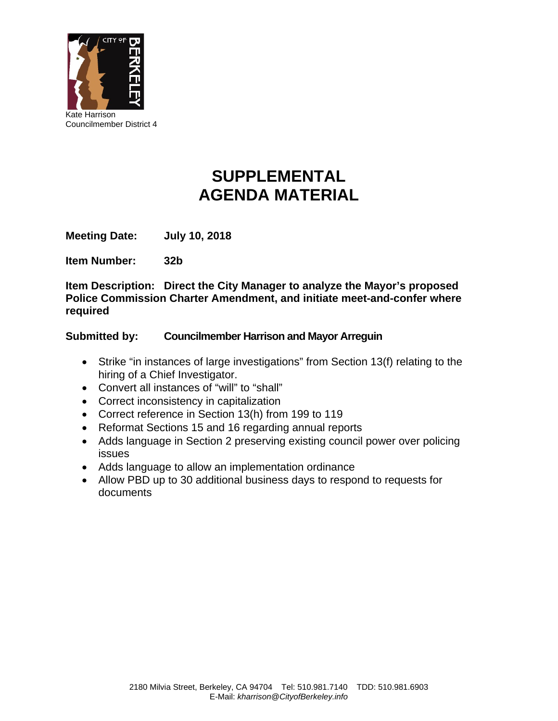

# **SUPPLEMENTAL AGENDA MATERIAL**

**Meeting Date: July 10, 2018** 

**Item Number: 32b**

**Item Description: Direct the City Manager to analyze the Mayor's proposed Police Commission Charter Amendment, and initiate meet-and-confer where required** 

## **Submitted by: Councilmember Harrison and Mayor Arreguin**

- Strike "in instances of large investigations" from Section 13(f) relating to the hiring of a Chief Investigator.
- Convert all instances of "will" to "shall"
- Correct inconsistency in capitalization
- Correct reference in Section 13(h) from 199 to 119
- Reformat Sections 15 and 16 regarding annual reports
- Adds language in Section 2 preserving existing council power over policing issues
- Adds language to allow an implementation ordinance
- Allow PBD up to 30 additional business days to respond to requests for documents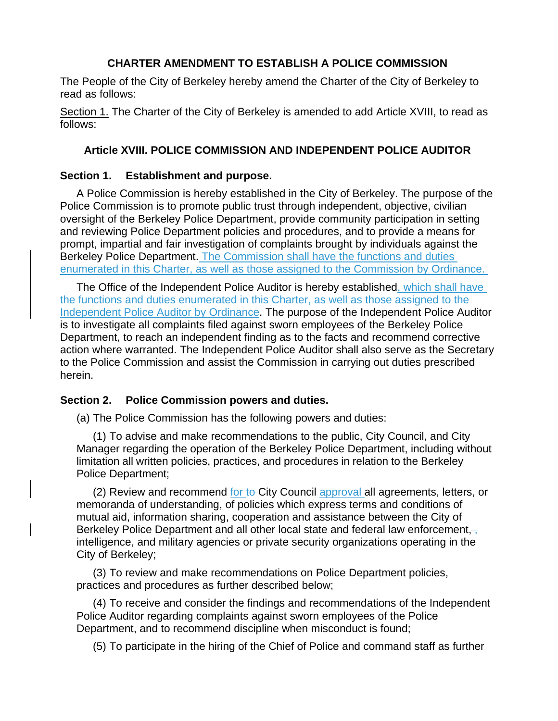## **CHARTER AMENDMENT TO ESTABLISH A POLICE COMMISSION**

The People of the City of Berkeley hereby amend the Charter of the City of Berkeley to read as follows:

Section 1. The Charter of the City of Berkeley is amended to add Article XVIII, to read as follows:

# **Article XVIII. POLICE COMMISSION AND INDEPENDENT POLICE AUDITOR**

## **Section 1. Establishment and purpose.**

A Police Commission is hereby established in the City of Berkeley. The purpose of the Police Commission is to promote public trust through independent, objective, civilian oversight of the Berkeley Police Department, provide community participation in setting and reviewing Police Department policies and procedures, and to provide a means for prompt, impartial and fair investigation of complaints brought by individuals against the Berkeley Police Department. The Commission shall have the functions and duties enumerated in this Charter, as well as those assigned to the Commission by Ordinance.

The Office of the Independent Police Auditor is hereby established, which shall have the functions and duties enumerated in this Charter, as well as those assigned to the Independent Police Auditor by Ordinance. The purpose of the Independent Police Auditor is to investigate all complaints filed against sworn employees of the Berkeley Police Department, to reach an independent finding as to the facts and recommend corrective action where warranted. The Independent Police Auditor shall also serve as the Secretary to the Police Commission and assist the Commission in carrying out duties prescribed herein.

#### **Section 2. Police Commission powers and duties.**

(a) The Police Commission has the following powers and duties:

(1) To advise and make recommendations to the public, City Council, and City Manager regarding the operation of the Berkeley Police Department, including without limitation all written policies, practices, and procedures in relation to the Berkeley Police Department;

(2) Review and recommend for to City Council approval all agreements, letters, or memoranda of understanding, of policies which express terms and conditions of mutual aid, information sharing, cooperation and assistance between the City of Berkeley Police Department and all other local state and federal law enforcement, intelligence, and military agencies or private security organizations operating in the City of Berkeley;

(3) To review and make recommendations on Police Department policies, practices and procedures as further described below;

(4) To receive and consider the findings and recommendations of the Independent Police Auditor regarding complaints against sworn employees of the Police Department, and to recommend discipline when misconduct is found;

(5) To participate in the hiring of the Chief of Police and command staff as further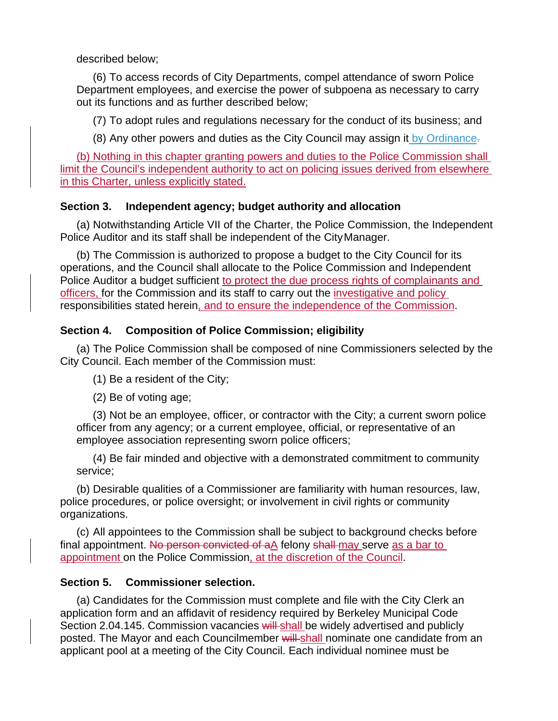#### described below;

(6) To access records of City Departments, compel attendance of sworn Police Department employees, and exercise the power of subpoena as necessary to carry out its functions and as further described below;

(7) To adopt rules and regulations necessary for the conduct of its business; and

(8) Any other powers and duties as the City Council may assign it by Ordinance.

(b) Nothing in this chapter granting powers and duties to the Police Commission shall limit the Council's independent authority to act on policing issues derived from elsewhere in this Charter, unless explicitly stated.

# **Section 3. Independent agency; budget authority and allocation**

(a) Notwithstanding Article VII of the Charter, the Police Commission, the Independent Police Auditor and its staff shall be independent of the City Manager.

(b) The Commission is authorized to propose a budget to the City Council for its operations, and the Council shall allocate to the Police Commission and Independent Police Auditor a budget sufficient to protect the due process rights of complainants and officers, for the Commission and its staff to carry out the investigative and policy responsibilities stated herein, and to ensure the independence of the Commission.

# **Section 4. Composition of Police Commission; eligibility**

(a) The Police Commission shall be composed of nine Commissioners selected by the City Council. Each member of the Commission must:

(1) Be a resident of the City;

(2) Be of voting age;

(3) Not be an employee, officer, or contractor with the City; a current sworn police officer from any agency; or a current employee, official, or representative of an employee association representing sworn police officers;

(4) Be fair minded and objective with a demonstrated commitment to community service;

(b) Desirable qualities of a Commissioner are familiarity with human resources, law, police procedures, or police oversight; or involvement in civil rights or community organizations.

(c) All appointees to the Commission shall be subject to background checks before final appointment. No person convicted of aA felony shall may serve as a bar to appointment on the Police Commission, at the discretion of the Council.

# **Section 5. Commissioner selection.**

(a) Candidates for the Commission must complete and file with the City Clerk an application form and an affidavit of residency required by Berkeley Municipal Code Section 2.04.145. Commission vacancies will-shall be widely advertised and publicly posted. The Mayor and each Councilmember will shall nominate one candidate from an applicant pool at a meeting of the City Council. Each individual nominee must be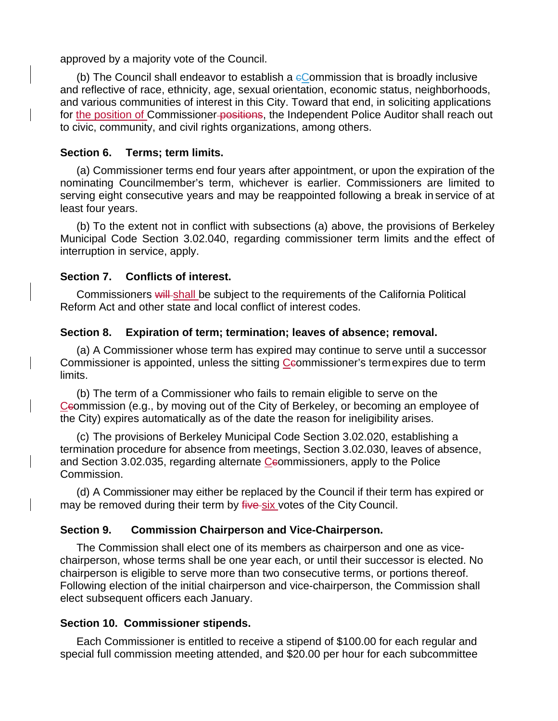approved by a majority vote of the Council.

(b) The Council shall endeavor to establish a  $e$ Commission that is broadly inclusive and reflective of race, ethnicity, age, sexual orientation, economic status, neighborhoods, and various communities of interest in this City. Toward that end, in soliciting applications for the position of Commissioner-positions, the Independent Police Auditor shall reach out to civic, community, and civil rights organizations, among others.

#### **Section 6. Terms; term limits.**

(a) Commissioner terms end four years after appointment, or upon the expiration of the nominating Councilmember's term, whichever is earlier. Commissioners are limited to serving eight consecutive years and may be reappointed following a break in service of at least four years.

(b) To the extent not in conflict with subsections (a) above, the provisions of Berkeley Municipal Code Section 3.02.040, regarding commissioner term limits and the effect of interruption in service, apply.

## **Section 7. Conflicts of interest.**

Commissioners will shall be subject to the requirements of the California Political Reform Act and other state and local conflict of interest codes.

## **Section 8. Expiration of term; termination; leaves of absence; removal.**

(a) A Commissioner whose term has expired may continue to serve until a successor Commissioner is appointed, unless the sitting Ceommissioner's term expires due to term limits.

(b) The term of a Commissioner who fails to remain eligible to serve on the Csommission (e.g., by moving out of the City of Berkeley, or becoming an employee of the City) expires automatically as of the date the reason for ineligibility arises.

(c) The provisions of Berkeley Municipal Code Section 3.02.020, establishing a termination procedure for absence from meetings, Section 3.02.030, leaves of absence, and Section 3.02.035, regarding alternate Csommissioners, apply to the Police Commission.

(d) A Commissioner may either be replaced by the Council if their term has expired or may be removed during their term by five six votes of the City Council.

# **Section 9. Commission Chairperson and Vice-Chairperson.**

The Commission shall elect one of its members as chairperson and one as vicechairperson, whose terms shall be one year each, or until their successor is elected. No chairperson is eligible to serve more than two consecutive terms, or portions thereof. Following election of the initial chairperson and vice-chairperson, the Commission shall elect subsequent officers each January.

# **Section 10. Commissioner stipends.**

Each Commissioner is entitled to receive a stipend of \$100.00 for each regular and special full commission meeting attended, and \$20.00 per hour for each subcommittee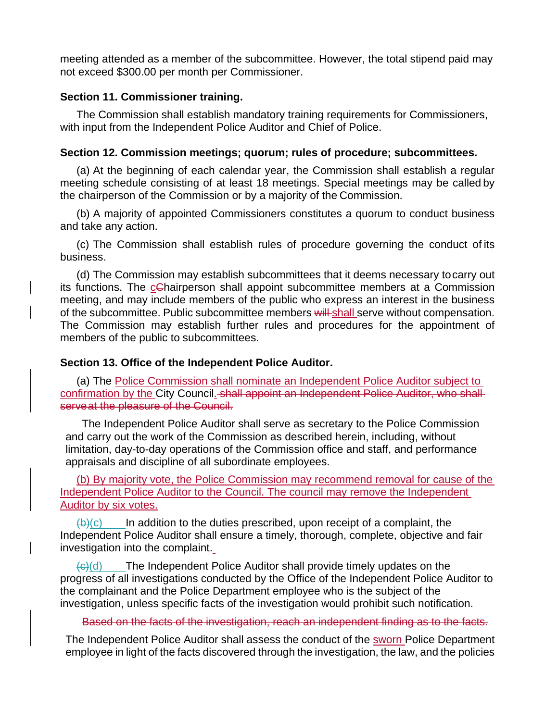meeting attended as a member of the subcommittee. However, the total stipend paid may not exceed \$300.00 per month per Commissioner.

#### **Section 11. Commissioner training.**

The Commission shall establish mandatory training requirements for Commissioners, with input from the Independent Police Auditor and Chief of Police.

#### **Section 12. Commission meetings; quorum; rules of procedure; subcommittees.**

(a) At the beginning of each calendar year, the Commission shall establish a regular meeting schedule consisting of at least 18 meetings. Special meetings may be called by the chairperson of the Commission or by a majority of the Commission.

(b) A majority of appointed Commissioners constitutes a quorum to conduct business and take any action.

(c) The Commission shall establish rules of procedure governing the conduct of its business.

(d) The Commission may establish subcommittees that it deems necessary to carry out its functions. The cChairperson shall appoint subcommittee members at a Commission meeting, and may include members of the public who express an interest in the business of the subcommittee. Public subcommittee members will shall serve without compensation. The Commission may establish further rules and procedures for the appointment of members of the public to subcommittees.

#### **Section 13. Office of the Independent Police Auditor.**

(a) The Police Commission shall nominate an Independent Police Auditor subject to confirmation by the City Council. shall appoint an Independent Police Auditor, who shall serveat the pleasure of the Council.

The Independent Police Auditor shall serve as secretary to the Police Commission and carry out the work of the Commission as described herein, including, without limitation, day-to-day operations of the Commission office and staff, and performance appraisals and discipline of all subordinate employees.

(b) By majority vote, the Police Commission may recommend removal for cause of the Independent Police Auditor to the Council. The council may remove the Independent Auditor by six votes.

 $(\theta)(c)$  In addition to the duties prescribed, upon receipt of a complaint, the Independent Police Auditor shall ensure a timely, thorough, complete, objective and fair investigation into the complaint.

 $\left(\frac{f(x)}{g(x)}\right)$  The Independent Police Auditor shall provide timely updates on the progress of all investigations conducted by the Office of the Independent Police Auditor to the complainant and the Police Department employee who is the subject of the investigation, unless specific facts of the investigation would prohibit such notification.

Based on the facts of the investigation, reach an independent finding as to the facts.

The Independent Police Auditor shall assess the conduct of the sworn Police Department employee in light of the facts discovered through the investigation, the law, and the policies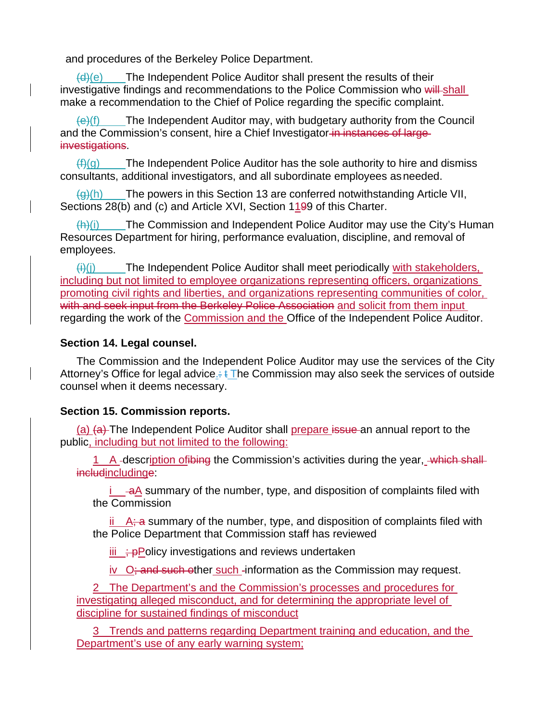and procedures of the Berkeley Police Department.

 $(d)(e)$  The Independent Police Auditor shall present the results of their investigative findings and recommendations to the Police Commission who will shall make a recommendation to the Chief of Police regarding the specific complaint.

 $\left(\frac{e}{f}\right)$  The Independent Auditor may, with budgetary authority from the Council and the Commission's consent, hire a Chief Investigator in instances of largeinvestigations.

 $(f)(g)$  The Independent Police Auditor has the sole authority to hire and dismiss consultants, additional investigators, and all subordinate employees as needed.

 $\langle q \rangle$ (h) The powers in this Section 13 are conferred notwithstanding Article VII, Sections 28(b) and (c) and Article XVI, Section 1199 of this Charter.

 $\langle h \rangle$ (i) The Commission and Independent Police Auditor may use the City's Human Resources Department for hiring, performance evaluation, discipline, and removal of employees.

 $\overline{f}(i)(j)$  The Independent Police Auditor shall meet periodically with stakeholders, including but not limited to employee organizations representing officers, organizations promoting civil rights and liberties, and organizations representing communities of color, with and seek input from the Berkeley Police Association and solicit from them input regarding the work of the Commission and the Office of the Independent Police Auditor.

#### **Section 14. Legal counsel.**

The Commission and the Independent Police Auditor may use the services of the City Attorney's Office for legal advice.:  $\frac{1}{2}$ The Commission may also seek the services of outside counsel when it deems necessary.

#### **Section 15. Commission reports.**

(a) (a) The Independent Police Auditor shall prepare issue an annual report to the public, including but not limited to the following:

1 A -description of thing the Commission's activities during the year, which shallincludinge:

 $i$   $\rightarrow$   $\overline{a}$  summary of the number, type, and disposition of complaints filed with the Commission

 $\frac{\text{ii}}{\text{A}}$ ; a summary of the number, type, and disposition of complaints filed with the Police Department that Commission staff has reviewed

 $iii \div P$ Policy investigations and reviews undertaken

iv  $O<sub>i</sub>$  and such other such -information as the Commission may request.

2 The Department's and the Commission's processes and procedures for investigating alleged misconduct, and for determining the appropriate level of discipline for sustained findings of misconduct

3 Trends and patterns regarding Department training and education, and the Department's use of any early warning system;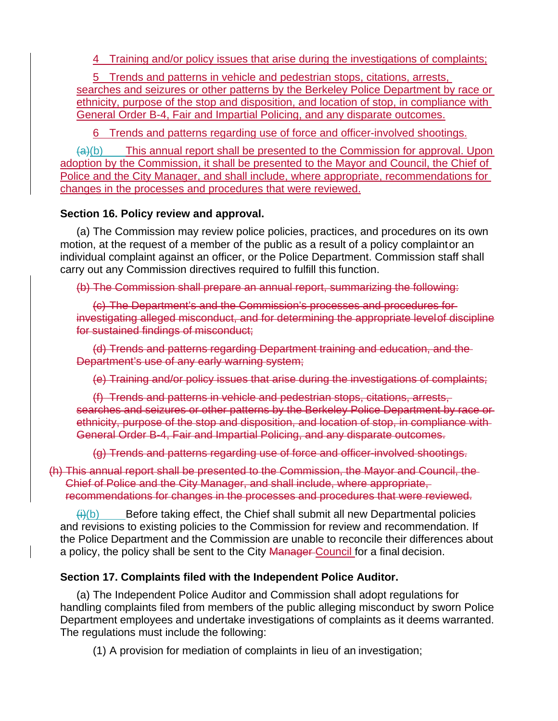4 Training and/or policy issues that arise during the investigations of complaints;

5 Trends and patterns in vehicle and pedestrian stops, citations, arrests, searches and seizures or other patterns by the Berkeley Police Department by race or ethnicity, purpose of the stop and disposition, and location of stop, in compliance with General Order B-4, Fair and Impartial Policing, and any disparate outcomes.

6 Trends and patterns regarding use of force and officer-involved shootings.

 $(a)(b)$  This annual report shall be presented to the Commission for approval. Upon adoption by the Commission, it shall be presented to the Mayor and Council, the Chief of Police and the City Manager, and shall include, where appropriate, recommendations for changes in the processes and procedures that were reviewed.

# **Section 16. Policy review and approval.**

(a) The Commission may review police policies, practices, and procedures on its own motion, at the request of a member of the public as a result of a policy complaint or an individual complaint against an officer, or the Police Department. Commission staff shall carry out any Commission directives required to fulfill this function.

(b) The Commission shall prepare an annual report, summarizing the following:

(c) The Department's and the Commission's processes and procedures for investigating alleged misconduct, and for determining the appropriate level of discipline for sustained findings of misconduct;

(d) Trends and patterns regarding Department training and education, and the Department's use of any early warning system;

(e) Training and/or policy issues that arise during the investigations of complaints;

(f) Trends and patterns in vehicle and pedestrian stops, citations, arrests, searches and seizures or other patterns by the Berkeley Police Department by race or ethnicity, purpose of the stop and disposition, and location of stop, in compliance with General Order B-4, Fair and Impartial Policing, and any disparate outcomes.

(g) Trends and patterns regarding use of force and officer-involved shootings.

(h) This annual report shall be presented to the Commission, the Mayor and Council, the Chief of Police and the City Manager, and shall include, where appropriate, recommendations for changes in the processes and procedures that were reviewed.

 $(h)(b)$  Before taking effect, the Chief shall submit all new Departmental policies and revisions to existing policies to the Commission for review and recommendation. If the Police Department and the Commission are unable to reconcile their differences about a policy, the policy shall be sent to the City Manager Council for a final decision.

# **Section 17. Complaints filed with the Independent Police Auditor.**

(a) The Independent Police Auditor and Commission shall adopt regulations for handling complaints filed from members of the public alleging misconduct by sworn Police Department employees and undertake investigations of complaints as it deems warranted. The regulations must include the following:

(1) A provision for mediation of complaints in lieu of an investigation;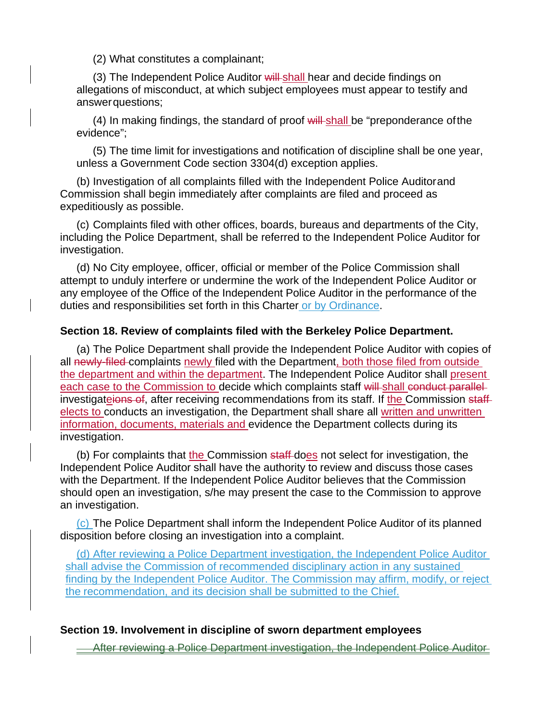(2) What constitutes a complainant;

(3) The Independent Police Auditor will shall hear and decide findings on allegations of misconduct, at which subject employees must appear to testify and answer questions;

 $(4)$  In making findings, the standard of proof will shall be "preponderance of the evidence";

(5) The time limit for investigations and notification of discipline shall be one year, unless a Government Code section 3304(d) exception applies.

(b) Investigation of all complaints filled with the Independent Police Auditor and Commission shall begin immediately after complaints are filed and proceed as expeditiously as possible.

(c) Complaints filed with other offices, boards, bureaus and departments of the City, including the Police Department, shall be referred to the Independent Police Auditor for investigation.

(d) No City employee, officer, official or member of the Police Commission shall attempt to unduly interfere or undermine the work of the Independent Police Auditor or any employee of the Office of the Independent Police Auditor in the performance of the duties and responsibilities set forth in this Charter or by Ordinance.

#### **Section 18. Review of complaints filed with the Berkeley Police Department.**

(a) The Police Department shall provide the Independent Police Auditor with copies of all newly-filed complaints newly filed with the Department, both those filed from outside the department and within the department. The Independent Police Auditor shall present each case to the Commission to decide which complaints staff will-shall conduct parallelinvestigateions of, after receiving recommendations from its staff. If the Commission staffelects to conducts an investigation, the Department shall share all written and unwritten information, documents, materials and evidence the Department collects during its investigation.

(b) For complaints that the Commission staff-does not select for investigation, the Independent Police Auditor shall have the authority to review and discuss those cases with the Department. If the Independent Police Auditor believes that the Commission should open an investigation, s/he may present the case to the Commission to approve an investigation.

(c) The Police Department shall inform the Independent Police Auditor of its planned disposition before closing an investigation into a complaint.

(d) After reviewing a Police Department investigation, the Independent Police Auditor shall advise the Commission of recommended disciplinary action in any sustained finding by the Independent Police Auditor. The Commission may affirm, modify, or reject the recommendation, and its decision shall be submitted to the Chief.

#### **Section 19. Involvement in discipline of sworn department employees**

After reviewing a Police Department investigation, the Independent Police Auditor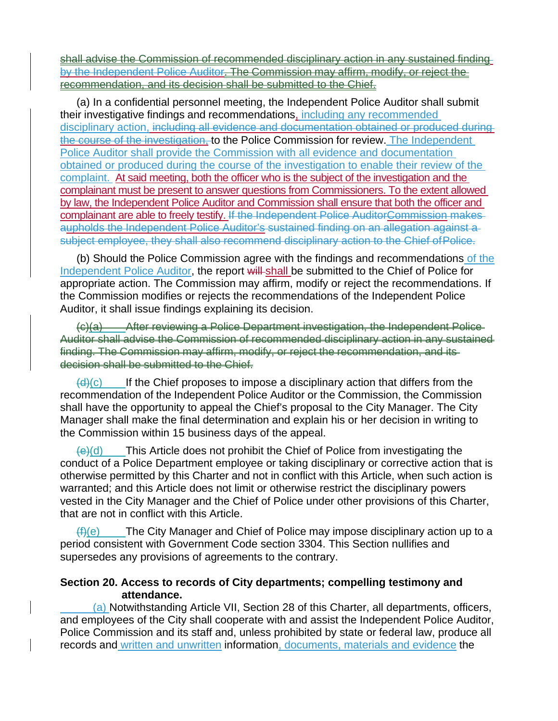shall advise the Commission of recommended disciplinary action in any sustained finding by the Independent Police Auditor. The Commission may affirm, modify, or reject the recommendation, and its decision shall be submitted to the Chief.

(a) In a confidential personnel meeting, the Independent Police Auditor shall submit their investigative findings and recommendations, including any recommended disciplinary action, including all evidence and documentation obtained or produced during the course of the investigation, to the Police Commission for review. The Independent Police Auditor shall provide the Commission with all evidence and documentation obtained or produced during the course of the investigation to enable their review of the complaint. At said meeting, both the officer who is the subject of the investigation and the complainant must be present to answer questions from Commissioners. To the extent allowed by law, the Independent Police Auditor and Commission shall ensure that both the officer and complainant are able to freely testify. If the Independent Police AuditorCommission makes aupholds the Independent Police Auditor's sustained finding on an allegation against a subject employee, they shall also recommend disciplinary action to the Chief of Police.

(b) Should the Police Commission agree with the findings and recommendations of the Independent Police Auditor, the report will shall be submitted to the Chief of Police for appropriate action. The Commission may affirm, modify or reject the recommendations. If the Commission modifies or rejects the recommendations of the Independent Police Auditor, it shall issue findings explaining its decision.

(c)(a) After reviewing a Police Department investigation, the Independent Police Auditor shall advise the Commission of recommended disciplinary action in any sustained finding. The Commission may affirm, modify, or reject the recommendation, and its decision shall be submitted to the Chief.

 $(d)(c)$  If the Chief proposes to impose a disciplinary action that differs from the recommendation of the Independent Police Auditor or the Commission, the Commission shall have the opportunity to appeal the Chief's proposal to the City Manager. The City Manager shall make the final determination and explain his or her decision in writing to the Commission within 15 business days of the appeal.

 $(e)(d)$  This Article does not prohibit the Chief of Police from investigating the conduct of a Police Department employee or taking disciplinary or corrective action that is otherwise permitted by this Charter and not in conflict with this Article, when such action is warranted; and this Article does not limit or otherwise restrict the disciplinary powers vested in the City Manager and the Chief of Police under other provisions of this Charter, that are not in conflict with this Article.

 $(f)(e)$  The City Manager and Chief of Police may impose disciplinary action up to a period consistent with Government Code section 3304. This Section nullifies and supersedes any provisions of agreements to the contrary.

## **Section 20. Access to records of City departments; compelling testimony and attendance.**

 (a) Notwithstanding Article VII, Section 28 of this Charter, all departments, officers, and employees of the City shall cooperate with and assist the Independent Police Auditor, Police Commission and its staff and, unless prohibited by state or federal law, produce all records and written and unwritten information, documents, materials and evidence the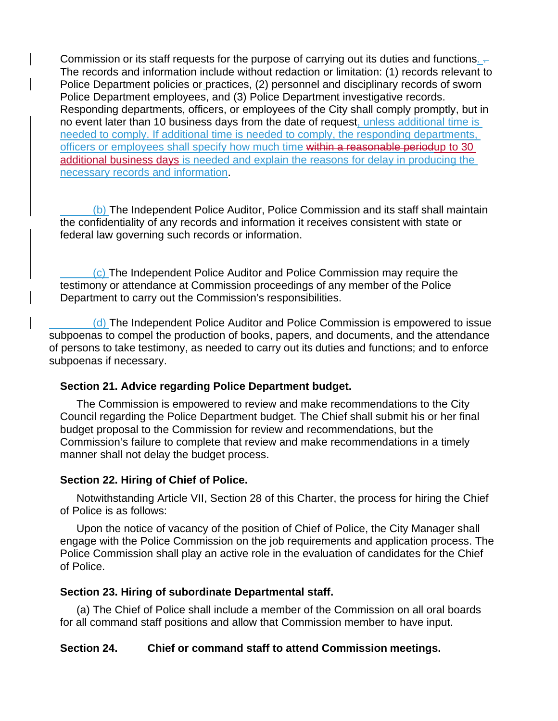Commission or its staff requests for the purpose of carrying out its duties and functions.  $-$ The records and information include without redaction or limitation: (1) records relevant to Police Department policies or practices, (2) personnel and disciplinary records of sworn Police Department employees, and (3) Police Department investigative records. Responding departments, officers, or employees of the City shall comply promptly, but in no event later than 10 business days from the date of request, unless additional time is needed to comply. If additional time is needed to comply, the responding departments, officers or employees shall specify how much time within a reasonable periodup to 30 additional business days is needed and explain the reasons for delay in producing the necessary records and information.

 (b) The Independent Police Auditor, Police Commission and its staff shall maintain the confidentiality of any records and information it receives consistent with state or federal law governing such records or information.

 (c) The Independent Police Auditor and Police Commission may require the testimony or attendance at Commission proceedings of any member of the Police Department to carry out the Commission's responsibilities.

 (d) The Independent Police Auditor and Police Commission is empowered to issue subpoenas to compel the production of books, papers, and documents, and the attendance of persons to take testimony, as needed to carry out its duties and functions; and to enforce subpoenas if necessary.

#### **Section 21. Advice regarding Police Department budget.**

The Commission is empowered to review and make recommendations to the City Council regarding the Police Department budget. The Chief shall submit his or her final budget proposal to the Commission for review and recommendations, but the Commission's failure to complete that review and make recommendations in a timely manner shall not delay the budget process.

# **Section 22. Hiring of Chief of Police.**

Notwithstanding Article VII, Section 28 of this Charter, the process for hiring the Chief of Police is as follows:

Upon the notice of vacancy of the position of Chief of Police, the City Manager shall engage with the Police Commission on the job requirements and application process. The Police Commission shall play an active role in the evaluation of candidates for the Chief of Police.

# **Section 23. Hiring of subordinate Departmental staff.**

(a) The Chief of Police shall include a member of the Commission on all oral boards for all command staff positions and allow that Commission member to have input.

# **Section 24. Chief or command staff to attend Commission meetings.**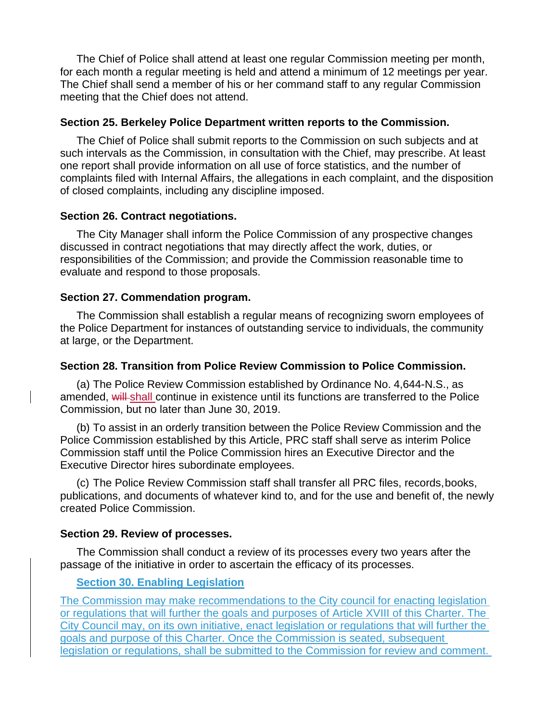The Chief of Police shall attend at least one regular Commission meeting per month, for each month a regular meeting is held and attend a minimum of 12 meetings per year. The Chief shall send a member of his or her command staff to any regular Commission meeting that the Chief does not attend.

#### **Section 25. Berkeley Police Department written reports to the Commission.**

The Chief of Police shall submit reports to the Commission on such subjects and at such intervals as the Commission, in consultation with the Chief, may prescribe. At least one report shall provide information on all use of force statistics, and the number of complaints filed with Internal Affairs, the allegations in each complaint, and the disposition of closed complaints, including any discipline imposed.

#### **Section 26. Contract negotiations.**

The City Manager shall inform the Police Commission of any prospective changes discussed in contract negotiations that may directly affect the work, duties, or responsibilities of the Commission; and provide the Commission reasonable time to evaluate and respond to those proposals.

#### **Section 27. Commendation program.**

The Commission shall establish a regular means of recognizing sworn employees of the Police Department for instances of outstanding service to individuals, the community at large, or the Department.

#### **Section 28. Transition from Police Review Commission to Police Commission.**

(a) The Police Review Commission established by Ordinance No. 4,644-N.S., as amended, will shall continue in existence until its functions are transferred to the Police Commission, but no later than June 30, 2019.

(b) To assist in an orderly transition between the Police Review Commission and the Police Commission established by this Article, PRC staff shall serve as interim Police Commission staff until the Police Commission hires an Executive Director and the Executive Director hires subordinate employees.

(c) The Police Review Commission staff shall transfer all PRC files, records, books, publications, and documents of whatever kind to, and for the use and benefit of, the newly created Police Commission.

#### **Section 29. Review of processes.**

The Commission shall conduct a review of its processes every two years after the passage of the initiative in order to ascertain the efficacy of its processes.

#### **Section 30. Enabling Legislation**

The Commission may make recommendations to the City council for enacting legislation or regulations that will further the goals and purposes of Article XVIII of this Charter. The City Council may, on its own initiative, enact legislation or regulations that will further the goals and purpose of this Charter. Once the Commission is seated, subsequent legislation or regulations, shall be submitted to the Commission for review and comment.